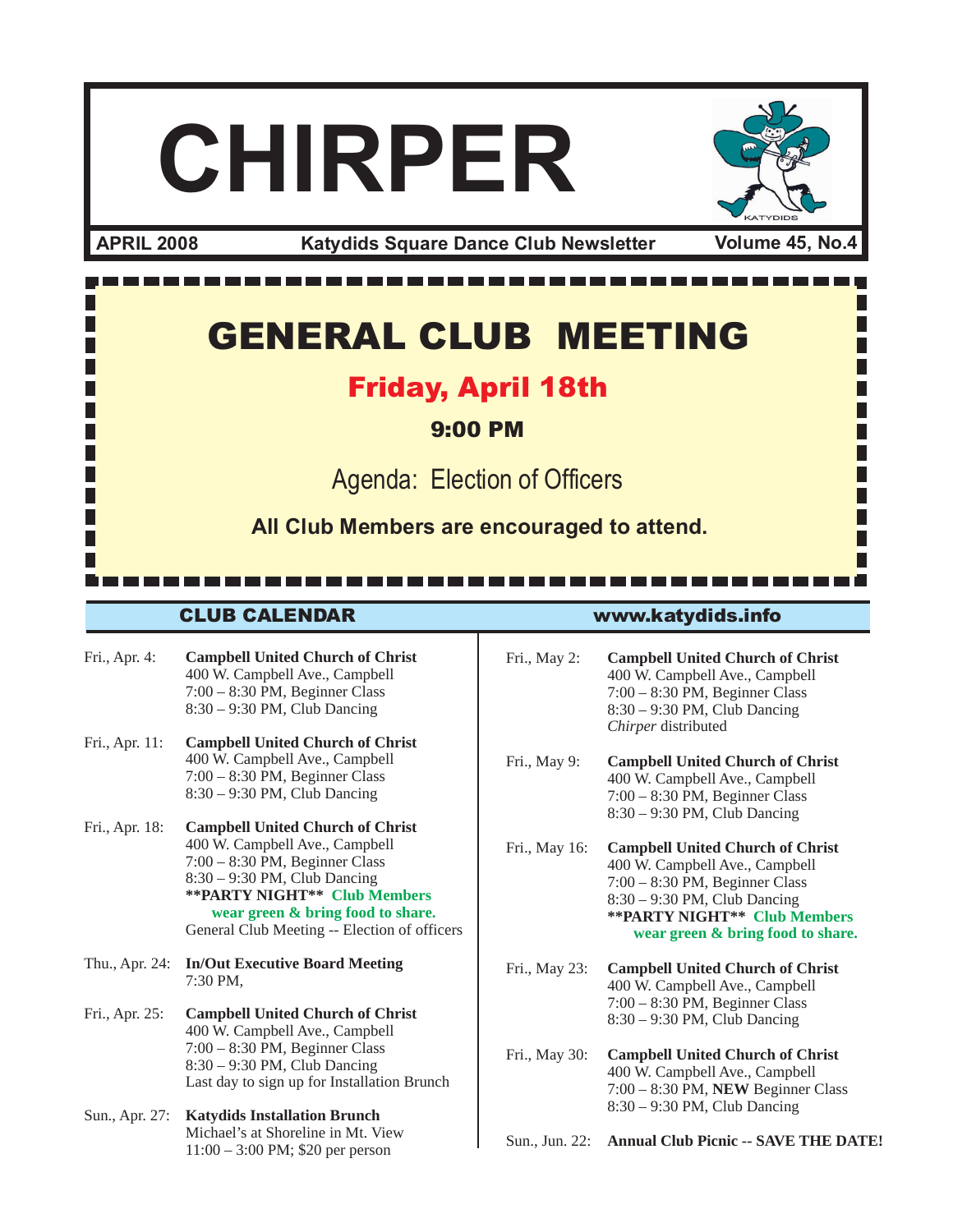# **CHIRPER**

**Katydids Square Dance Club Newsletter APRIL 2008 Volume 45, No.4**

1 H H H GENERAL CLUB MEETING Friday, April 18th П 9:00 PM Agenda: Election of Officers **All Club Members are encouraged to attend.**----------------------------CLUB CALENDAR www.katydids.info

- Fri., Apr. 4: **Campbell United Church of Christ** 400 W. Campbell Ave., Campbell 7:00 – 8:30 PM, Beginner Class 8:30 – 9:30 PM, Club Dancing
- Fri., Apr. 11: **Campbell United Church of Christ** 400 W. Campbell Ave., Campbell 7:00 – 8:30 PM, Beginner Class 8:30 – 9:30 PM, Club Dancing
- Fri., Apr. 18: **Campbell United Church of Christ** 400 W. Campbell Ave., Campbell 7:00 – 8:30 PM, Beginner Class 8:30 – 9:30 PM, Club Dancing **\*\*PARTY NIGHT\*\* Club Members wear green & bring food to share.** General Club Meeting -- Election of officers
- Thu., Apr. 24: **In/Out Executive Board Meeting** 7:30 PM,
- Fri., Apr. 25: **Campbell United Church of Christ** 400 W. Campbell Ave., Campbell 7:00 – 8:30 PM, Beginner Class 8:30 – 9:30 PM, Club Dancing Last day to sign up for Installation Brunch
- Sun., Apr. 27: **Katydids Installation Brunch** Michael's at Shoreline in Mt. View 11:00 – 3:00 PM; \$20 per person

- Fri., May 2: **Campbell United Church of Christ** 400 W. Campbell Ave., Campbell 7:00 – 8:30 PM, Beginner Class 8:30 – 9:30 PM, Club Dancing *Chirper* distributed
- Fri., May 9: **Campbell United Church of Christ** 400 W. Campbell Ave., Campbell 7:00 – 8:30 PM, Beginner Class 8:30 – 9:30 PM, Club Dancing
- Fri., May 16: **Campbell United Church of Christ** 400 W. Campbell Ave., Campbell 7:00 – 8:30 PM, Beginner Class 8:30 – 9:30 PM, Club Dancing **\*\*PARTY NIGHT\*\* Club Members wear green & bring food to share.**
- Fri., May 23: **Campbell United Church of Christ** 400 W. Campbell Ave., Campbell 7:00 – 8:30 PM, Beginner Class 8:30 – 9:30 PM, Club Dancing
- Fri., May 30: **Campbell United Church of Christ** 400 W. Campbell Ave., Campbell 7:00 – 8:30 PM, **NEW** Beginner Class 8:30 – 9:30 PM, Club Dancing
- Sun., Jun. 22: **Annual Club Picnic -- SAVE THE DATE!**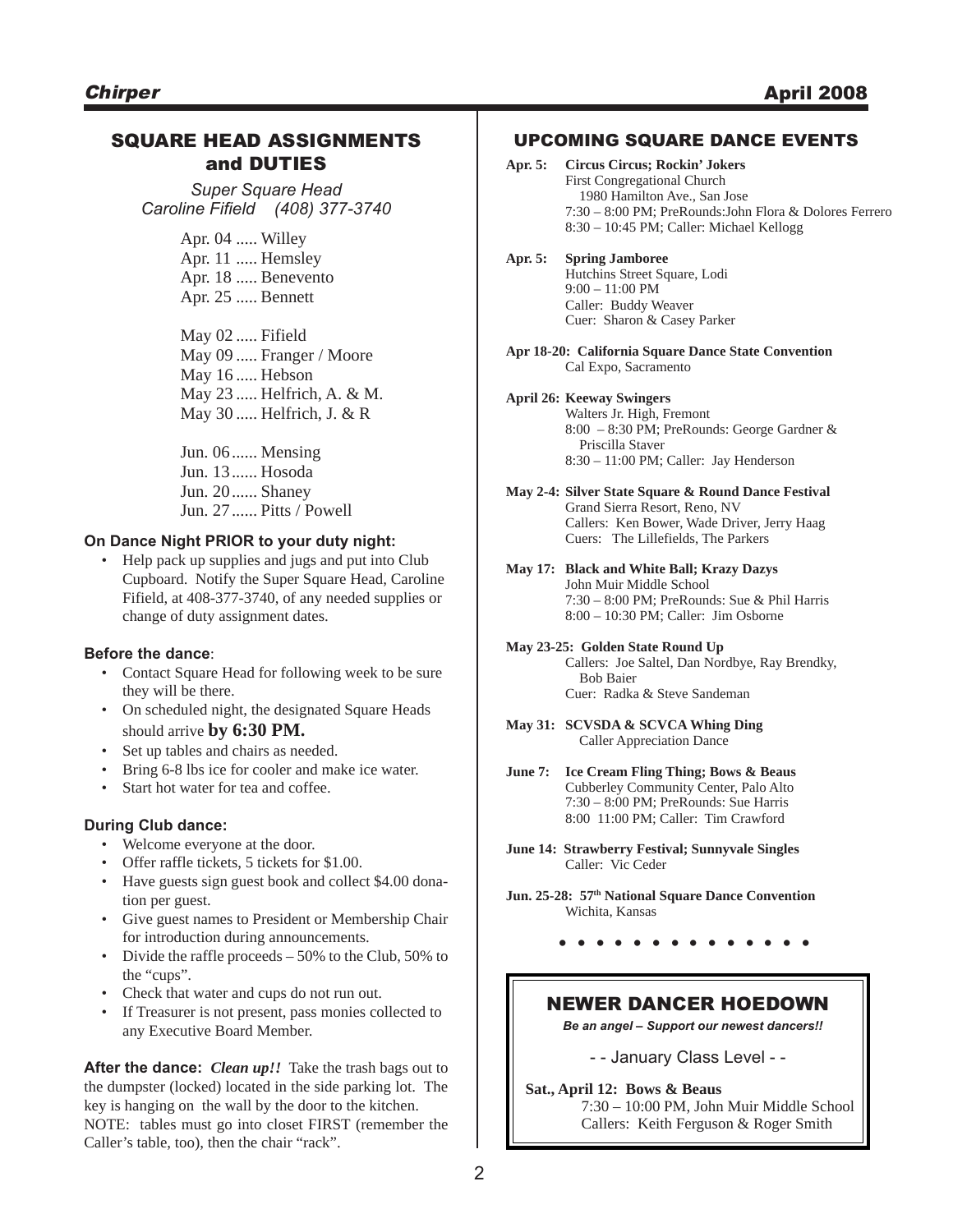#### SQUARE HEAD ASSIGNMENTS and DUTIES

*Super Square Head Caroline Fifield (408) 377-3740*

> Apr. 04 ..... Willey Apr. 11 ..... Hemsley Apr. 18 ..... Benevento Apr. 25 ..... Bennett

May 02 ..... Fifield May 09 ..... Franger / Moore May 16 ..... Hebson May 23 ..... Helfrich, A. & M. May 30 ..... Helfrich, J. & R

Jun. 06...... Mensing Jun. 13...... Hosoda Jun. 20...... Shaney Jun. 27...... Pitts / Powell

#### **On Dance Night PRIOR to your duty night:**

• Help pack up supplies and jugs and put into Club Cupboard. Notify the Super Square Head, Caroline Fifield, at 408-377-3740, of any needed supplies or change of duty assignment dates.

#### **Before the dance**:

- Contact Square Head for following week to be sure they will be there.
- On scheduled night, the designated Square Heads should arrive **by 6:30 PM.**
- Set up tables and chairs as needed.
- Bring 6-8 lbs ice for cooler and make ice water.
- Start hot water for tea and coffee.

#### **During Club dance:**

- Welcome everyone at the door.
- Offer raffle tickets, 5 tickets for \$1.00.
- Have guests sign guest book and collect \$4.00 donation per guest.
- Give guest names to President or Membership Chair for introduction during announcements.
- Divide the raffle proceeds 50% to the Club, 50% to the "cups".
- Check that water and cups do not run out.
- If Treasurer is not present, pass monies collected to any Executive Board Member.

**After the dance:** *Clean up!!* Take the trash bags out to the dumpster (locked) located in the side parking lot. The key is hanging on the wall by the door to the kitchen. NOTE: tables must go into closet FIRST (remember the Caller's table, too), then the chair "rack".

#### UPCOMING SQUARE DANCE EVENTS

| Apr. 5: | <b>Circus Circus: Rockin' Jokers</b>                    |  |  |
|---------|---------------------------------------------------------|--|--|
|         | <b>First Congregational Church</b>                      |  |  |
|         | 1980 Hamilton Ave., San Jose                            |  |  |
|         | 7:30 – 8:00 PM: PreRounds: John Flora & Dolores Ferrero |  |  |
|         | $8:30 - 10:45$ PM; Caller: Michael Kellogg              |  |  |
|         |                                                         |  |  |

- **Apr. 5: Spring Jamboree** Hutchins Street Square, Lodi 9:00 – 11:00 PM Caller: Buddy Weaver Cuer: Sharon & Casey Parker
- **Apr 18-20: California Square Dance State Convention** Cal Expo, Sacramento

#### **April 26: Keeway Swingers**

- Walters Jr. High, Fremont 8:00 – 8:30 PM; PreRounds: George Gardner & Priscilla Staver 8:30 – 11:00 PM; Caller: Jay Henderson
- **May 2-4: Silver State Square & Round Dance Festival** Grand Sierra Resort, Reno, NV Callers: Ken Bower, Wade Driver, Jerry Haag Cuers: The Lillefields, The Parkers
- **May 17: Black and White Ball; Krazy Dazys** John Muir Middle School 7:30 – 8:00 PM; PreRounds: Sue & Phil Harris 8:00 – 10:30 PM; Caller: Jim Osborne
- **May 23-25: Golden State Round Up** Callers: Joe Saltel, Dan Nordbye, Ray Brendky, Bob Baier Cuer: Radka & Steve Sandeman
- **May 31: SCVSDA & SCVCA Whing Ding** Caller Appreciation Dance
- **June 7: Ice Cream Fling Thing; Bows & Beaus** Cubberley Community Center, Palo Alto 7:30 – 8:00 PM; PreRounds: Sue Harris 8:00 11:00 PM; Caller: Tim Crawford
- **June 14: Strawberry Festival; Sunnyvale Singles** Caller: Vic Ceder
- **Jun. 25-28: 57th National Square Dance Convention** Wichita, Kansas
	- **. . . . . . . . . . . . . .**

#### NEWER DANCER HOEDOWN

*Be an angel – Support our newest dancers!!*

- - January Class Level - -

**Sat., April 12: Bows & Beaus** 7:30 – 10:00 PM, John Muir Middle School Callers: Keith Ferguson & Roger Smith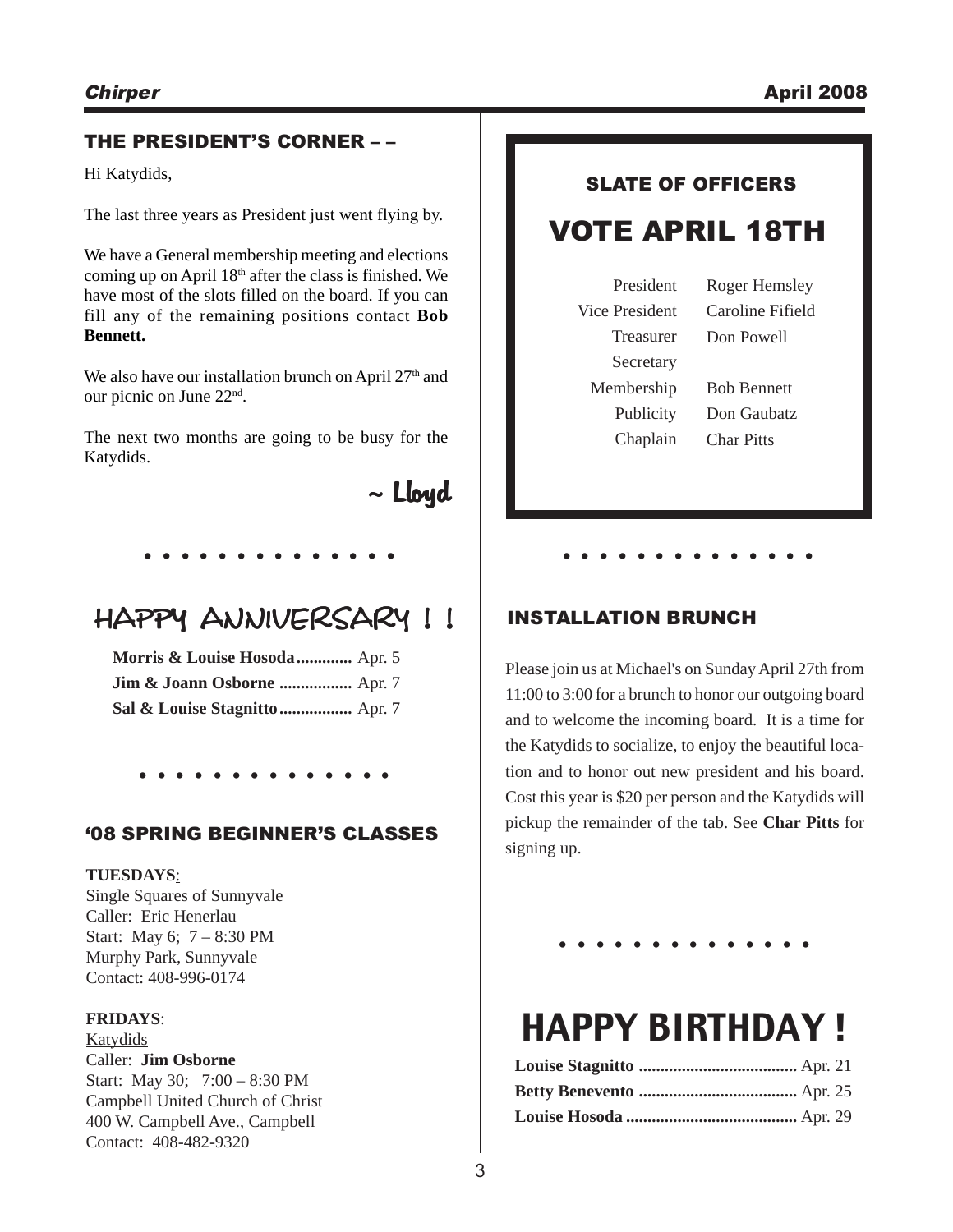#### THE PRESIDENT'S CORNER – –

Hi Katydids,

The last three years as President just went flying by.

We have a General membership meeting and elections coming up on April  $18<sup>th</sup>$  after the class is finished. We have most of the slots filled on the board. If you can fill any of the remaining positions contact **Bob Bennett.**

We also have our installation brunch on April  $27<sup>th</sup>$  and our picnic on June 22nd.

The next two months are going to be busy for the Katydids.

 $\sim$  Lloyd

# HAPPY ANNIVERSARY !!

**. . . . . . . . . . . . . .**

**Morris & Louise Hosoda.............** Apr. 5 **Jim & Joann Osborne .................** Apr. 7 **Sal & Louise Stagnitto.................** Apr. 7

# **. . . . . . . . . . . . . .**

#### '08 SPRING BEGINNER'S CLASSES

#### **TUESDAYS**:

Single Squares of Sunnyvale Caller: Eric Henerlau Start: May 6; 7 – 8:30 PM Murphy Park, Sunnyvale Contact: 408-996-0174

#### **FRIDAYS**:

Katydids Caller: **Jim Osborne** Start: May 30; 7:00 – 8:30 PM Campbell United Church of Christ 400 W. Campbell Ave., Campbell Contact: 408-482-9320

# SLATE OF OFFICERS

# VOTE APRIL 18TH

President Vice President Treasurer Secretary Membership Publicity Chaplain Roger Hemsley Caroline Fifield Don Powell Bob Bennett Don Gaubatz

Char Pitts

# INSTALLATION BRUNCH

Please join us at Michael's on Sunday April 27th from 11:00 to 3:00 for a brunch to honor our outgoing board and to welcome the incoming board. It is a time for the Katydids to socialize, to enjoy the beautiful location and to honor out new president and his board. Cost this year is \$20 per person and the Katydids will pickup the remainder of the tab. See **Char Pitts** for signing up.

**. . . . . . . . . . . . . .**

**. . . . . . . . . . . . . .**

# HAPPY BIRTHDAY !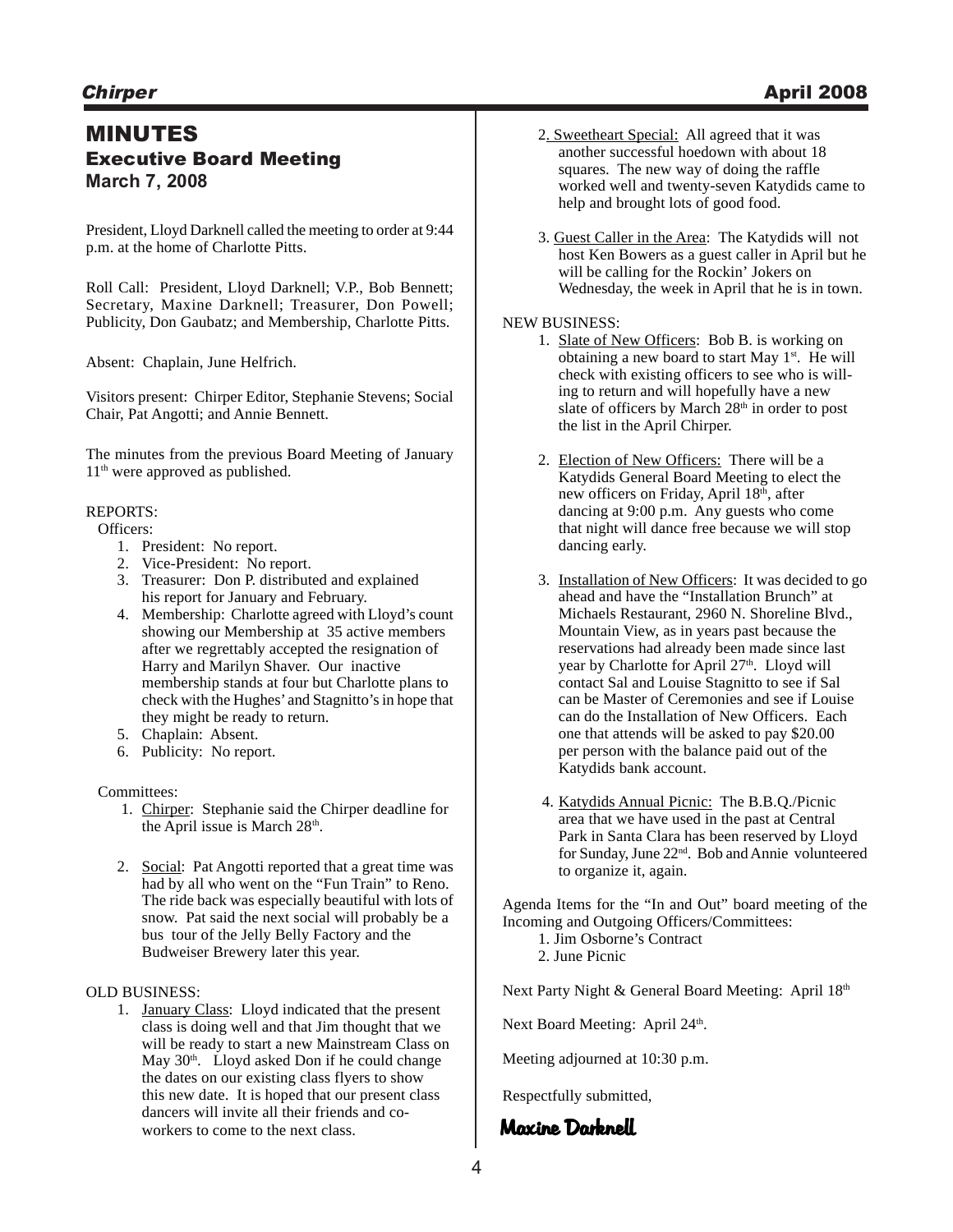### MINUTES Executive Board Meeting **March 7, 2008**

President, Lloyd Darknell called the meeting to order at 9:44 p.m. at the home of Charlotte Pitts.

Roll Call: President, Lloyd Darknell; V.P., Bob Bennett; Secretary, Maxine Darknell; Treasurer, Don Powell; Publicity, Don Gaubatz; and Membership, Charlotte Pitts.

Absent: Chaplain, June Helfrich.

Visitors present: Chirper Editor, Stephanie Stevens; Social Chair, Pat Angotti; and Annie Bennett.

The minutes from the previous Board Meeting of January 11<sup>th</sup> were approved as published.

#### REPORTS:

#### Officers:

- 1. President: No report.
- 2. Vice-President: No report.
- 3. Treasurer: Don P. distributed and explained his report for January and February.
- 4. Membership: Charlotte agreed with Lloyd's count showing our Membership at 35 active members after we regrettably accepted the resignation of Harry and Marilyn Shaver. Our inactive membership stands at four but Charlotte plans to check with the Hughes' and Stagnitto's in hope that they might be ready to return.
- 5. Chaplain: Absent.
- 6. Publicity: No report.

#### Committees:

- 1. Chirper: Stephanie said the Chirper deadline for the April issue is March  $28<sup>th</sup>$ .
- 2. Social: Pat Angotti reported that a great time was had by all who went on the "Fun Train" to Reno. The ride back was especially beautiful with lots of snow. Pat said the next social will probably be a bus tour of the Jelly Belly Factory and the Budweiser Brewery later this year.

#### OLD BUSINESS:

1. January Class: Lloyd indicated that the present class is doing well and that Jim thought that we will be ready to start a new Mainstream Class on May 30<sup>th</sup>. Lloyd asked Don if he could change the dates on our existing class flyers to show this new date. It is hoped that our present class dancers will invite all their friends and coworkers to come to the next class. **Maxine Darknell** 

- 2. Sweetheart Special: All agreed that it was another successful hoedown with about 18 squares. The new way of doing the raffle worked well and twenty-seven Katydids came to help and brought lots of good food.
- 3. Guest Caller in the Area: The Katydids will not host Ken Bowers as a guest caller in April but he will be calling for the Rockin' Jokers on Wednesday, the week in April that he is in town.

#### NEW BUSINESS:

- 1. Slate of New Officers: Bob B. is working on obtaining a new board to start May 1<sup>st</sup>. He will check with existing officers to see who is willing to return and will hopefully have a new slate of officers by March 28<sup>th</sup> in order to post the list in the April Chirper.
- 2. Election of New Officers: There will be a Katydids General Board Meeting to elect the new officers on Friday, April 18<sup>th</sup>, after dancing at 9:00 p.m. Any guests who come that night will dance free because we will stop dancing early.
- 3. Installation of New Officers: It was decided to go ahead and have the "Installation Brunch" at Michaels Restaurant, 2960 N. Shoreline Blvd., Mountain View, as in years past because the reservations had already been made since last year by Charlotte for April 27<sup>th</sup>. Lloyd will contact Sal and Louise Stagnitto to see if Sal can be Master of Ceremonies and see if Louise can do the Installation of New Officers. Each one that attends will be asked to pay \$20.00 per person with the balance paid out of the Katydids bank account.
- 4. Katydids Annual Picnic: The B.B.Q./Picnic area that we have used in the past at Central Park in Santa Clara has been reserved by Lloyd for Sunday, June 22nd. Bob and Annie volunteered to organize it, again.

Agenda Items for the "In and Out" board meeting of the Incoming and Outgoing Officers/Committees:

1. Jim Osborne's Contract

2. June Picnic

Next Party Night & General Board Meeting: April 18th

Next Board Meeting: April 24<sup>th</sup>.

Meeting adjourned at 10:30 p.m.

Respectfully submitted,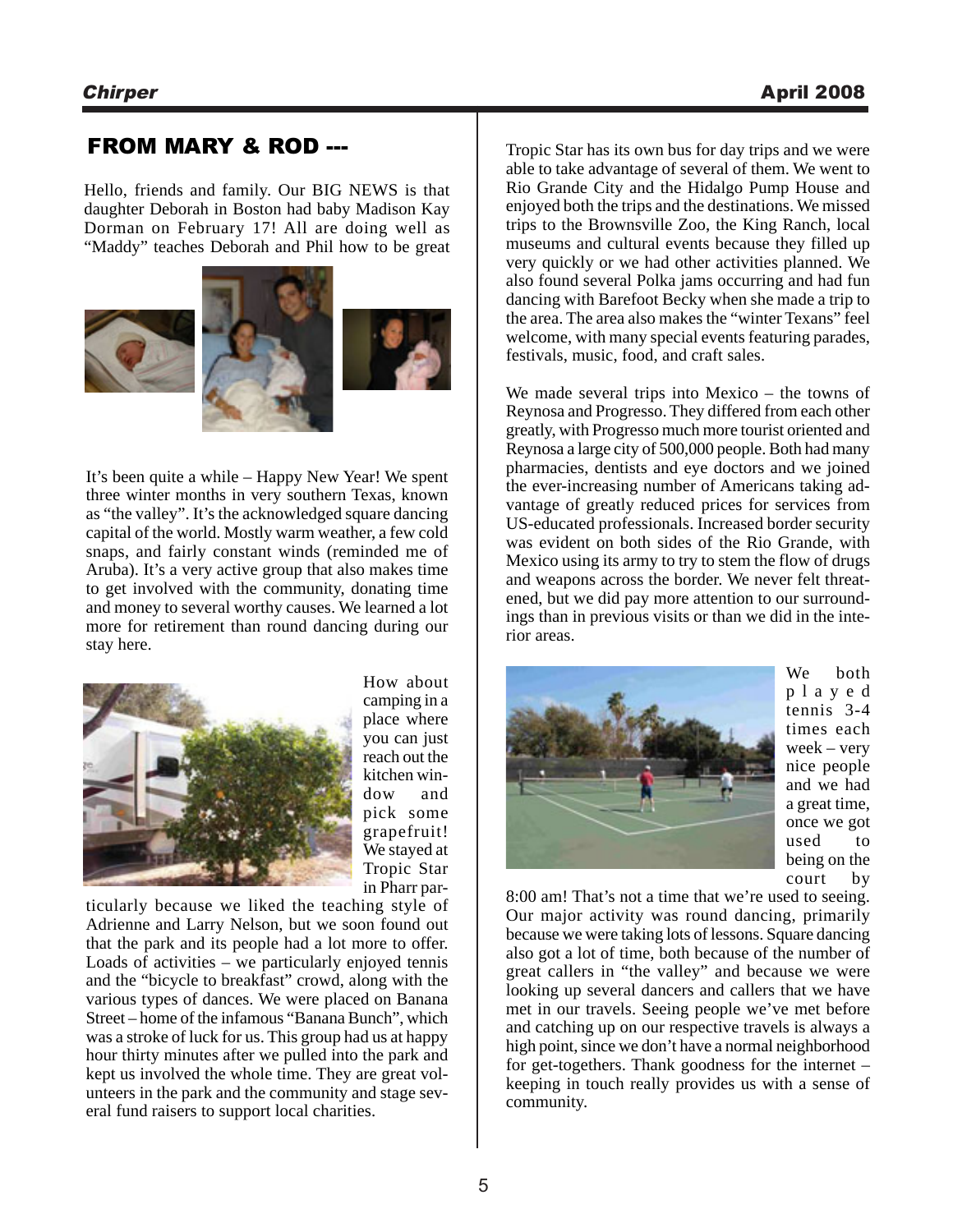### FROM MARY & ROD ---

Hello, friends and family. Our BIG NEWS is that daughter Deborah in Boston had baby Madison Kay Dorman on February 17! All are doing well as "Maddy" teaches Deborah and Phil how to be great







It's been quite a while – Happy New Year! We spent three winter months in very southern Texas, known as "the valley". It's the acknowledged square dancing capital of the world. Mostly warm weather, a few cold snaps, and fairly constant winds (reminded me of Aruba). It's a very active group that also makes time to get involved with the community, donating time and money to several worthy causes. We learned a lot more for retirement than round dancing during our stay here.



How about camping in a place where you can just reach out the kitchen window and pick some grapefruit! We stayed at Tropic Star in Pharr par-

ticularly because we liked the teaching style of Adrienne and Larry Nelson, but we soon found out that the park and its people had a lot more to offer. Loads of activities – we particularly enjoyed tennis and the "bicycle to breakfast" crowd, along with the various types of dances. We were placed on Banana Street – home of the infamous "Banana Bunch", which was a stroke of luck for us. This group had us at happy hour thirty minutes after we pulled into the park and kept us involved the whole time. They are great volunteers in the park and the community and stage several fund raisers to support local charities.

Tropic Star has its own bus for day trips and we were able to take advantage of several of them. We went to Rio Grande City and the Hidalgo Pump House and enjoyed both the trips and the destinations. We missed trips to the Brownsville Zoo, the King Ranch, local museums and cultural events because they filled up very quickly or we had other activities planned. We also found several Polka jams occurring and had fun dancing with Barefoot Becky when she made a trip to the area. The area also makes the "winter Texans" feel welcome, with many special events featuring parades, festivals, music, food, and craft sales.

We made several trips into Mexico – the towns of Reynosa and Progresso. They differed from each other greatly, with Progresso much more tourist oriented and Reynosa a large city of 500,000 people. Both had many pharmacies, dentists and eye doctors and we joined the ever-increasing number of Americans taking advantage of greatly reduced prices for services from US-educated professionals. Increased border security was evident on both sides of the Rio Grande, with Mexico using its army to try to stem the flow of drugs and weapons across the border. We never felt threatened, but we did pay more attention to our surroundings than in previous visits or than we did in the interior areas.



We both played tennis 3-4 times each week – very nice people and we had a great time, once we got used to being on the court by

8:00 am! That's not a time that we're used to seeing. Our major activity was round dancing, primarily because we were taking lots of lessons. Square dancing also got a lot of time, both because of the number of great callers in "the valley" and because we were looking up several dancers and callers that we have met in our travels. Seeing people we've met before and catching up on our respective travels is always a high point, since we don't have a normal neighborhood for get-togethers. Thank goodness for the internet – keeping in touch really provides us with a sense of community.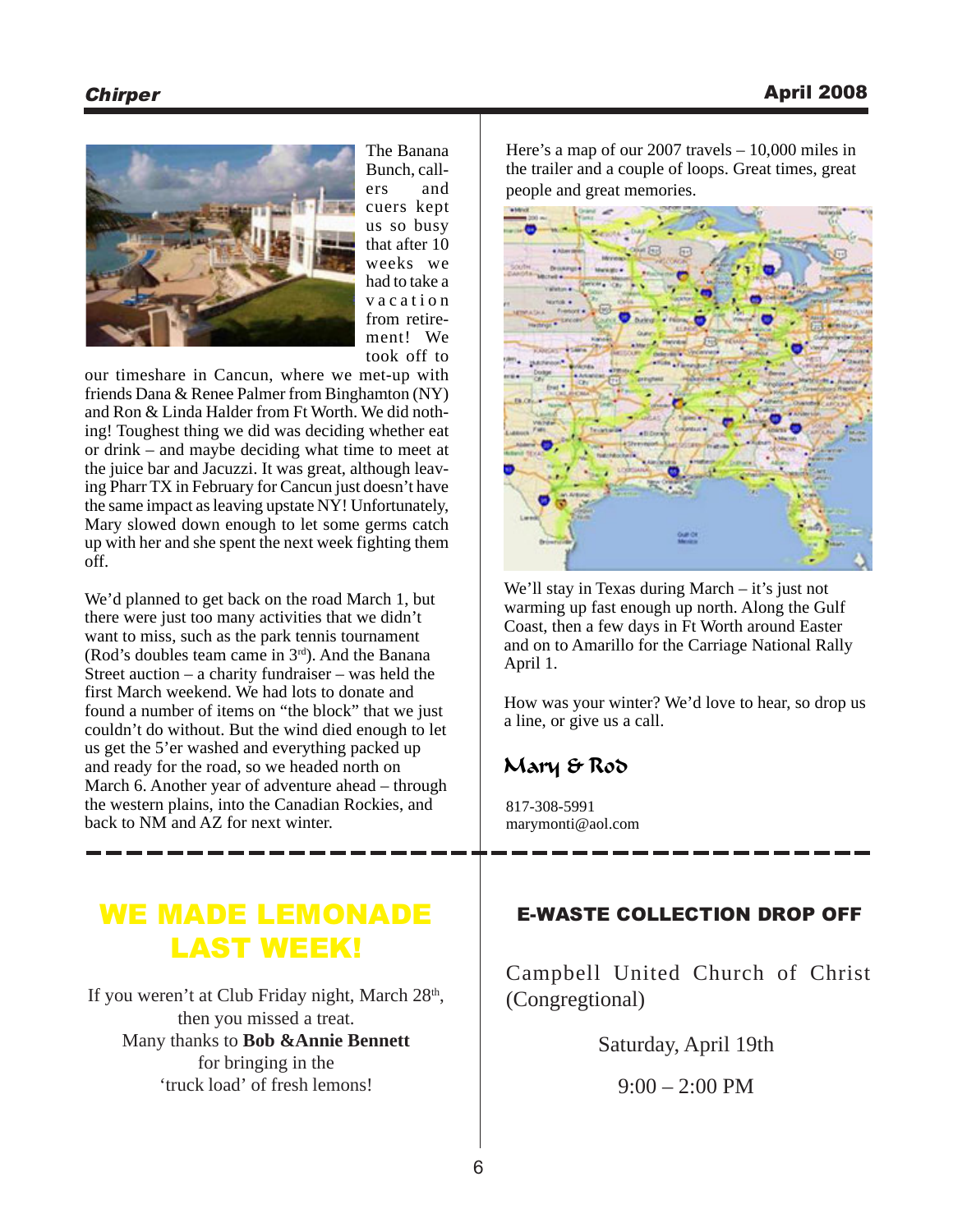

The Banana Bunch, callers and cuers kept us so busy that after 10 weeks we had to take a vacation from retirement! We took off to

our timeshare in Cancun, where we met-up with friends Dana & Renee Palmer from Binghamton (NY) and Ron & Linda Halder from Ft Worth. We did nothing! Toughest thing we did was deciding whether eat or drink – and maybe deciding what time to meet at the juice bar and Jacuzzi. It was great, although leaving Pharr TX in February for Cancun just doesn't have the same impact as leaving upstate NY! Unfortunately, Mary slowed down enough to let some germs catch up with her and she spent the next week fighting them off.

We'd planned to get back on the road March 1, but there were just too many activities that we didn't want to miss, such as the park tennis tournament (Rod's doubles team came in 3rd). And the Banana Street auction – a charity fundraiser – was held the first March weekend. We had lots to donate and found a number of items on "the block" that we just couldn't do without. But the wind died enough to let us get the 5'er washed and everything packed up and ready for the road, so we headed north on March 6. Another year of adventure ahead – through the western plains, into the Canadian Rockies, and back to NM and AZ for next winter.

# WE MADE LEMONADE LAST WEEK!

If you weren't at Club Friday night, March 28<sup>th</sup>, then you missed a treat. Many thanks to **Bob &Annie Bennett** for bringing in the 'truck load' of fresh lemons!

Here's a map of our 2007 travels – 10,000 miles in the trailer and a couple of loops. Great times, great people and great memories.

barok

We'll stay in Texas during March – it's just not warming up fast enough up north. Along the Gulf Coast, then a few days in Ft Worth around Easter and on to Amarillo for the Carriage National Rally April 1.

How was your winter? We'd love to hear, so drop us a line, or give us a call.

### Mary & Rod

817-308-5991 marymonti@aol.com

### E-WASTE COLLECTION DROP OFF

Campbell United Church of Christ (Congregtional)

Saturday, April 19th

 $9:00 - 2:00$  PM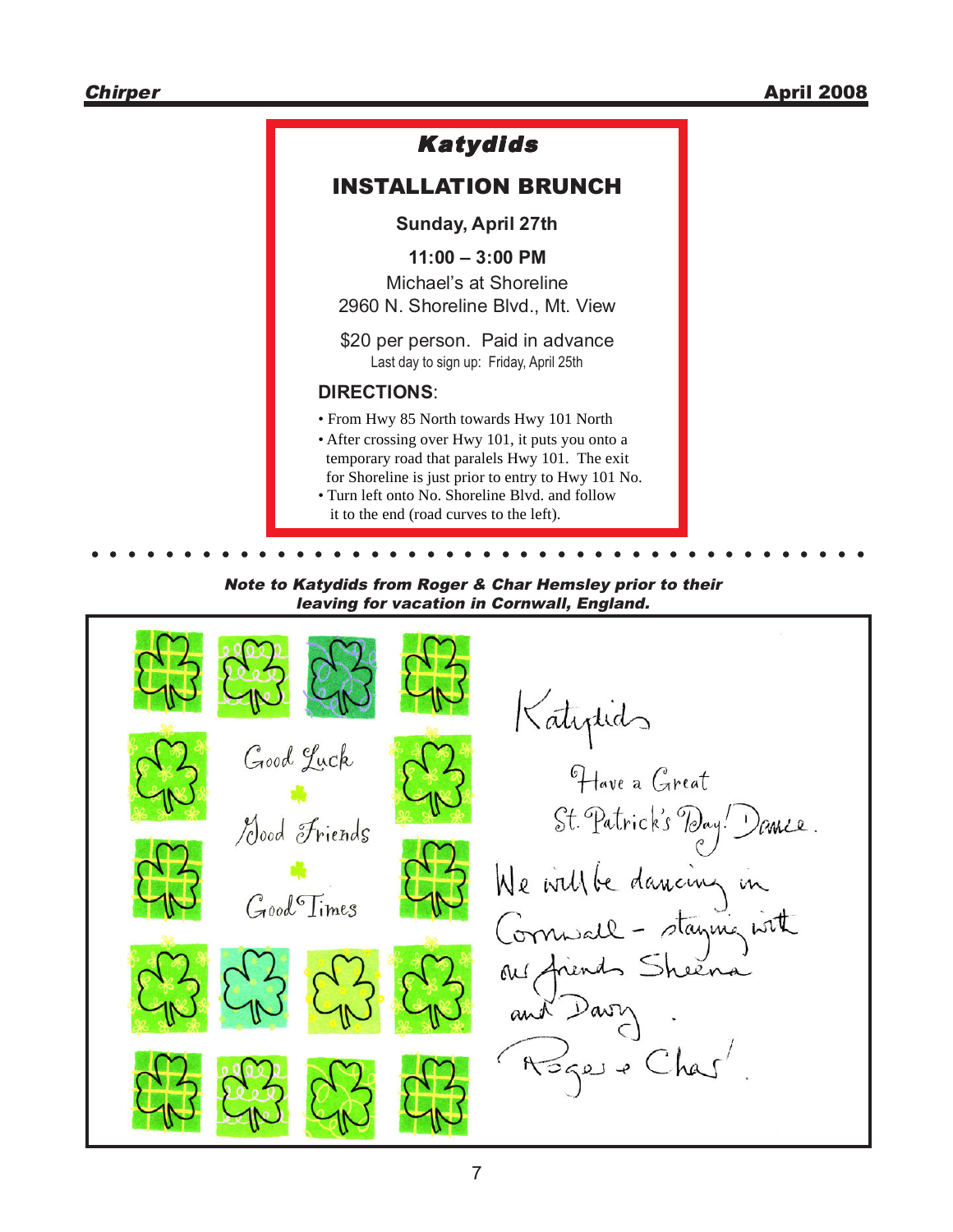### Katydids INSTALLATION BRUNCH **Sunday, April 27th 11:00 – 3:00 PM** Michael's at Shoreline 2960 N. Shoreline Blvd., Mt. View \$20 per person. Paid in advance **DIRECTIONS**: • From Hwy 85 North towards Hwy 101 North • After crossing over Hwy 101, it puts you onto a temporary road that paralels Hwy 101. The exit for Shoreline is just prior to entry to Hwy 101 No. • Turn left onto No. Shoreline Blvd. and follow it to the end (road curves to the left). Last day to sign up: Friday, April 25th

Note to Katydids from Roger & Char Hemsley prior to their leaving for vacation in Cornwall, England.

**. . . . . . . . . . . . . . . . . . . . . . . . . . . . . . . . . . . . . . . . . .**

Katylids Good Luck Have a Great St. Patrick's Day! Dance. Hood Friends We will be dancing in GoodTimes Cornwall - staying with ous friends Sheena Roger + Chas'.